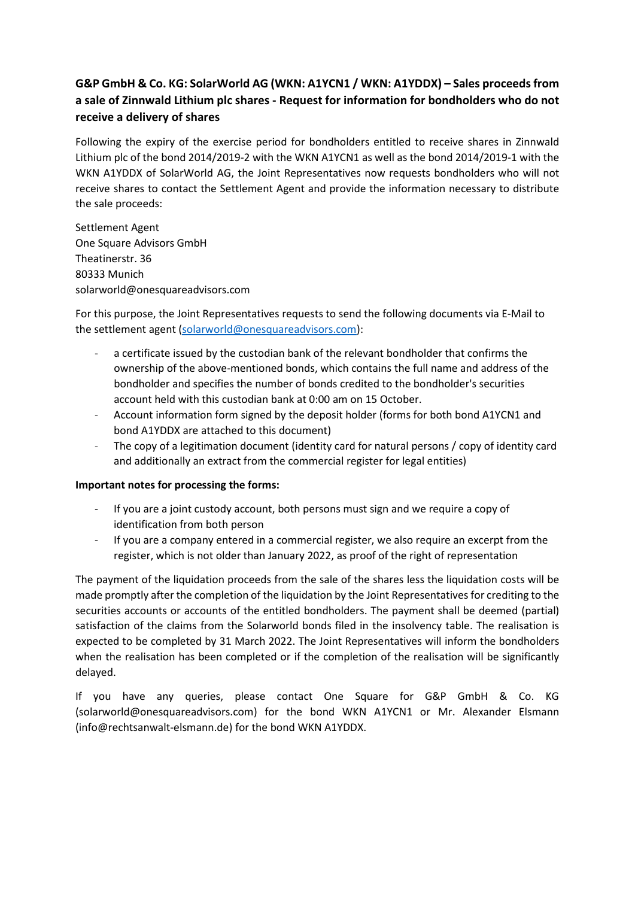# **G&P GmbH & Co. KG: SolarWorld AG (WKN: A1YCN1 / WKN: A1YDDX) – Sales proceedsfrom a sale of Zinnwald Lithium plc shares - Request for information for bondholders who do not receive a delivery of shares**

Following the expiry of the exercise period for bondholders entitled to receive shares in Zinnwald Lithium plc of the bond 2014/2019-2 with the WKN A1YCN1 as well as the bond 2014/2019-1 with the WKN A1YDDX of SolarWorld AG, the Joint Representatives now requests bondholders who will not receive shares to contact the Settlement Agent and provide the information necessary to distribute the sale proceeds:

Settlement Agent One Square Advisors GmbH Theatinerstr. 36 80333 Munich solarworld@onesquareadvisors.com

For this purpose, the Joint Representatives requests to send the following documents via E-Mail to the settlement agent [\(solarworld@onesquareadvisors.com\)](mailto:solarworld@onesquareadvisors.com):

- a certificate issued by the custodian bank of the relevant bondholder that confirms the ownership of the above-mentioned bonds, which contains the full name and address of the bondholder and specifies the number of bonds credited to the bondholder's securities account held with this custodian bank at 0:00 am on 15 October.
- Account information form signed by the deposit holder (forms for both bond A1YCN1 and bond A1YDDX are attached to this document)
- The copy of a legitimation document (identity card for natural persons / copy of identity card and additionally an extract from the commercial register for legal entities)

## **Important notes for processing the forms:**

- If you are a joint custody account, both persons must sign and we require a copy of identification from both person
- If you are a company entered in a commercial register, we also require an excerpt from the register, which is not older than January 2022, as proof of the right of representation

The payment of the liquidation proceeds from the sale of the shares less the liquidation costs will be made promptly after the completion of the liquidation by the Joint Representatives for crediting to the securities accounts or accounts of the entitled bondholders. The payment shall be deemed (partial) satisfaction of the claims from the Solarworld bonds filed in the insolvency table. The realisation is expected to be completed by 31 March 2022. The Joint Representatives will inform the bondholders when the realisation has been completed or if the completion of the realisation will be significantly delayed.

If you have any queries, please contact One Square for G&P GmbH & Co. KG (solarworld@onesquareadvisors.com) for the bond WKN A1YCN1 or Mr. Alexander Elsmann (info@rechtsanwalt-elsmann.de) for the bond WKN A1YDDX.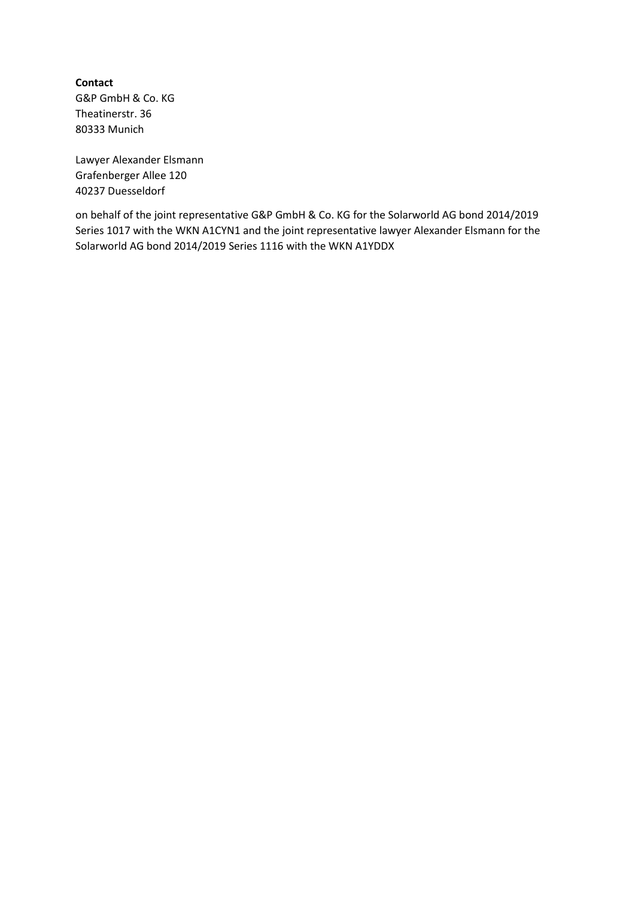**Contact** G&P GmbH & Co. KG Theatinerstr. 36 80333 Munich

Lawyer Alexander Elsmann Grafenberger Allee 120 40237 Duesseldorf

on behalf of the joint representative G&P GmbH & Co. KG for the Solarworld AG bond 2014/2019 Series 1017 with the WKN A1CYN1 and the joint representative lawyer Alexander Elsmann for the Solarworld AG bond 2014/2019 Series 1116 with the WKN A1YDDX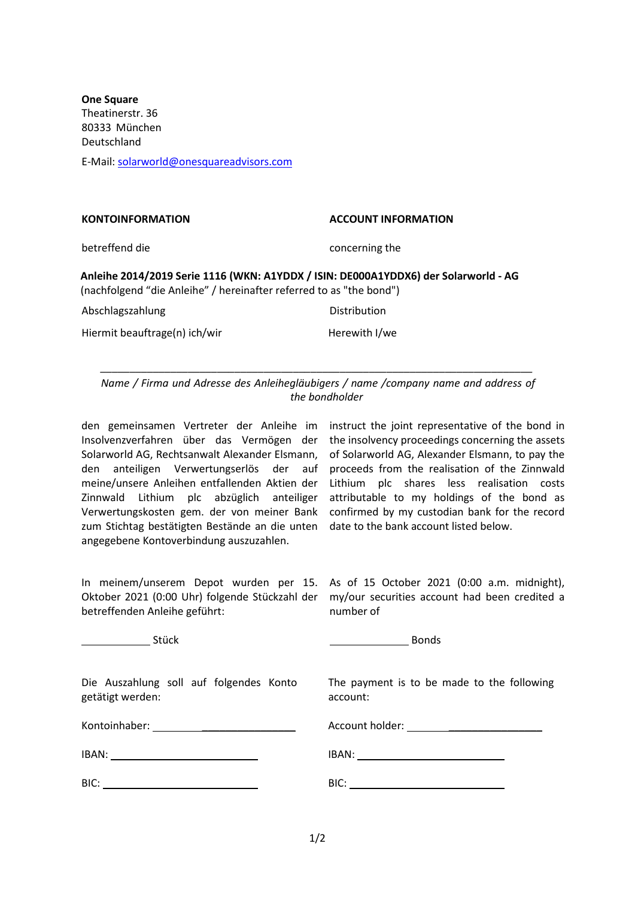**One Square**  Theatinerstr. 36 80333 München Deutschland E-Mail[: solarworld@onesquareadvisors.com](mailto:solarworld@onesquareadvisors.com)

| <b>KONTOINFORMATION</b>                                                                                                                                    | <b>ACCOUNT INFORMATION</b> |
|------------------------------------------------------------------------------------------------------------------------------------------------------------|----------------------------|
| betreffend die                                                                                                                                             | concerning the             |
| Anleihe 2014/2019 Serie 1116 (WKN: A1YDDX / ISIN: DE000A1YDDX6) der Solarworld - AG<br>(nachfolgend "die Anleihe" / hereinafter referred to as "the bond") |                            |
| Abschlagszahlung                                                                                                                                           | <b>Distribution</b>        |
| Hiermit beauftrage(n) ich/wir                                                                                                                              | Herewith I/we              |

*Name / Firma und Adresse des Anleihegläubigers / name /company name and address of the bondholder*

*\_\_\_\_\_\_\_\_\_\_\_\_\_\_\_\_\_\_\_\_\_\_\_\_\_\_\_\_\_\_\_\_\_\_\_\_\_\_\_\_\_\_\_\_\_\_\_\_\_\_\_\_\_\_\_\_\_\_\_\_\_\_\_\_\_\_\_\_\_\_\_\_\_\_*

den gemeinsamen Vertreter der Anleihe im instruct the joint representative of the bond in Insolvenzverfahren über das Vermögen der the insolvency proceedings concerning the assets Solarworld AG, Rechtsanwalt Alexander Elsmann, den anteiligen Verwertungserlös der auf meine/unsere Anleihen entfallenden Aktien der Lithium plc shares less realisation costs Zinnwald Lithium plc abzüglich anteiliger Verwertungskosten gem. der von meiner Bank zum Stichtag bestätigten Bestände an die unten angegebene Kontoverbindung auszuzahlen.

of Solarworld AG, Alexander Elsmann, to pay the proceeds from the realisation of the Zinnwald attributable to my holdings of the bond as confirmed by my custodian bank for the record date to the bank account listed below.

In meinem/unserem Depot wurden per 15. Oktober 2021 (0:00 Uhr) folgende Stückzahl der betreffenden Anleihe geführt:

As of 15 October 2021 (0:00 a.m. midnight), my/our securities account had been credited a number of

The payment is to be made to the following

Stück Bonds Bonds Bonds Bonds Bonds Bonds Bonds Bonds Bonds Bonds Bonds Bonds Bonds Bonds Bonds Bonds Bonds Bonds Bonds Bonds Bonds Bonds Bonds Bonds Bonds Bonds Bonds Bonds Bonds Bonds Bonds Bonds Bonds Bonds Bonds Bonds

account:

Die Auszahlung soll auf folgendes Konto getätigt werden:

Kontoinhaber: \_\_\_\_\_\_\_\_\_\_\_\_\_\_\_\_

IBAN: \_\_\_\_\_\_\_\_\_\_\_\_\_\_\_\_

BIC: \_\_\_\_\_\_\_\_\_\_\_\_\_\_\_\_

| IBAN: |  |  |
|-------|--|--|
|       |  |  |
| BIC:  |  |  |

Account holder: \_\_\_\_\_\_\_\_\_\_\_\_\_\_\_\_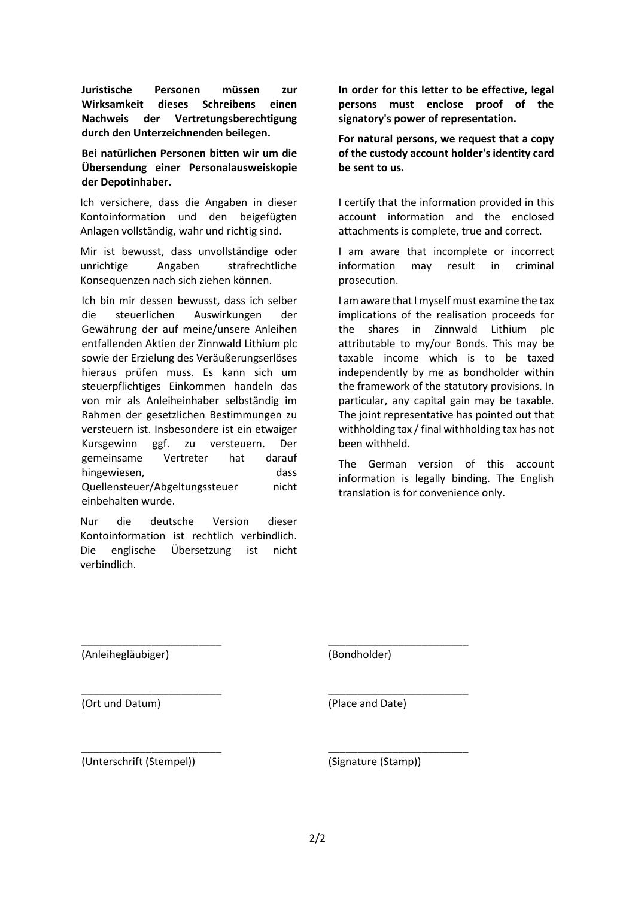**Juristische Personen müssen zur Wirksamkeit dieses Schreibens einen Nachweis der Vertretungsberechtigung durch den Unterzeichnenden beilegen.**

**Bei natürlichen Personen bitten wir um die Übersendung einer Personalausweiskopie der Depotinhaber.**

Ich versichere, dass die Angaben in dieser Kontoinformation und den beigefügten Anlagen vollständig, wahr und richtig sind.

Mir ist bewusst, dass unvollständige oder unrichtige Angaben strafrechtliche Konsequenzen nach sich ziehen können.

Ich bin mir dessen bewusst, dass ich selber die steuerlichen Auswirkungen der Gewährung der auf meine/unsere Anleihen entfallenden Aktien der Zinnwald Lithium plc sowie der Erzielung des Veräußerungserlöses hieraus prüfen muss. Es kann sich um steuerpflichtiges Einkommen handeln das von mir als Anleiheinhaber selbständig im Rahmen der gesetzlichen Bestimmungen zu versteuern ist. Insbesondere ist ein etwaiger Kursgewinn ggf. zu versteuern. Der gemeinsame Vertreter hat darauf hingewiesen, dass Quellensteuer/Abgeltungssteuer nicht einbehalten wurde.

Nur die deutsche Version dieser Kontoinformation ist rechtlich verbindlich. Die englische Übersetzung ist nicht verbindlich.

**In order for this letter to be effective, legal persons must enclose proof of the signatory's power of representation.**

**For natural persons, we request that a copy of the custody account holder's identity card be sent to us.**

I certify that the information provided in this account information and the enclosed attachments is complete, true and correct.

I am aware that incomplete or incorrect information may result in criminal prosecution.

I am aware that I myself must examine the tax implications of the realisation proceeds for the shares in Zinnwald Lithium plc attributable to my/our Bonds. This may be taxable income which is to be taxed independently by me as bondholder within the framework of the statutory provisions. In particular, any capital gain may be taxable. The joint representative has pointed out that withholding tax / final withholding tax has not been withheld.

The German version of this account information is legally binding. The English translation is for convenience only.

(Anleihegläubiger)

\_\_\_\_\_\_\_\_\_\_\_\_\_\_\_\_\_\_\_\_\_\_\_\_

\_\_\_\_\_\_\_\_\_\_\_\_\_\_\_\_\_\_\_\_\_\_\_\_

\_\_\_\_\_\_\_\_\_\_\_\_\_\_\_\_\_\_\_\_\_\_\_\_

(Bondholder)

\_\_\_\_\_\_\_\_\_\_\_\_\_\_\_\_\_\_\_\_\_\_\_\_

\_\_\_\_\_\_\_\_\_\_\_\_\_\_\_\_\_\_\_\_\_\_\_\_

\_\_\_\_\_\_\_\_\_\_\_\_\_\_\_\_\_\_\_\_\_\_\_\_

(Ort und Datum)

(Place and Date)

(Unterschrift (Stempel))

(Signature (Stamp))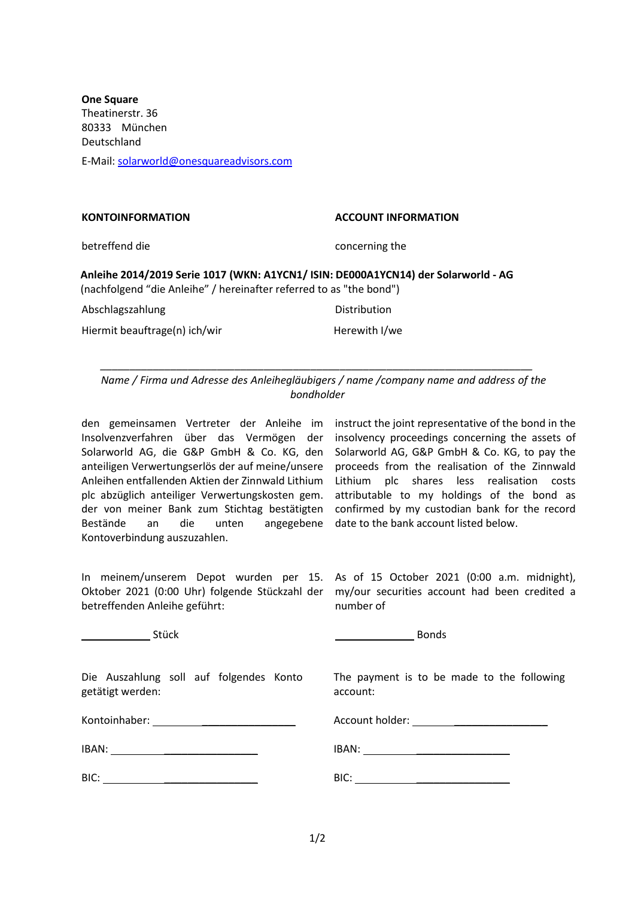**One Square**  Theatinerstr. 36 80333 München Deutschland E-Mail[: solarworld@onesquareadvisors.com](mailto:solarworld@onesquareadvisors.com)

#### **KONTOINFORMATION ACCOUNT INFORMATION**

betreffend die concerning the concerning the

### **Anleihe 2014/2019 Serie 1017 (WKN: A1YCN1/ ISIN: DE000A1YCN14) der Solarworld - AG** (nachfolgend "die Anleihe" / hereinafter referred to as "the bond")

Abschlagszahlung Distribution

Hiermit beauftrage(n) ich/wir Herewith I/we

*Name / Firma und Adresse des Anleihegläubigers / name /company name and address of the bondholder*

*\_\_\_\_\_\_\_\_\_\_\_\_\_\_\_\_\_\_\_\_\_\_\_\_\_\_\_\_\_\_\_\_\_\_\_\_\_\_\_\_\_\_\_\_\_\_\_\_\_\_\_\_\_\_\_\_\_\_\_\_\_\_\_\_\_\_\_\_\_\_\_\_\_\_*

den gemeinsamen Vertreter der Anleihe im instruct the joint representative of the bond in the Insolvenzverfahren über das Vermögen der Solarworld AG, die G&P GmbH & Co. KG, den anteiligen Verwertungserlös der auf meine/unsere Anleihen entfallenden Aktien der Zinnwald Lithium Lithium plc shares less realisation costs plc abzüglich anteiliger Verwertungskosten gem. der von meiner Bank zum Stichtag bestätigten Bestände an die unten angegebene date to the bank account listed below. Kontoverbindung auszuzahlen.

insolvency proceedings concerning the assets of Solarworld AG, G&P GmbH & Co. KG, to pay the proceeds from the realisation of the Zinnwald attributable to my holdings of the bond as confirmed by my custodian bank for the record

betreffenden Anleihe geführt:

In meinem/unserem Depot wurden per 15. As of 15 October 2021 (0:00 a.m. midnight), Oktober 2021 (0:00 Uhr) folgende Stückzahl der my/our securities account had been credited a number of

Stück and the study of the study of the Bonds Bonds

Die Auszahlung soll auf folgendes Konto getätigt werden:

Kontoinhaber: **with the control of the control of the control of the control of the control of the control of the control of the control of the control of the control of the control of the control of the control of the con** 

IBAN: \_\_\_\_\_\_\_\_\_\_\_\_\_\_\_\_

| BIC: |  |
|------|--|
|      |  |

The payment is to be made to the following account:

Account holder: **with a set of the set of the set of the set of the set of the set of the set of the set of the set of the set of the set of the set of the set of the set of the set of the set of the set of the set of the** 

IBAN: \_\_\_\_\_\_\_\_\_\_\_\_\_\_\_\_